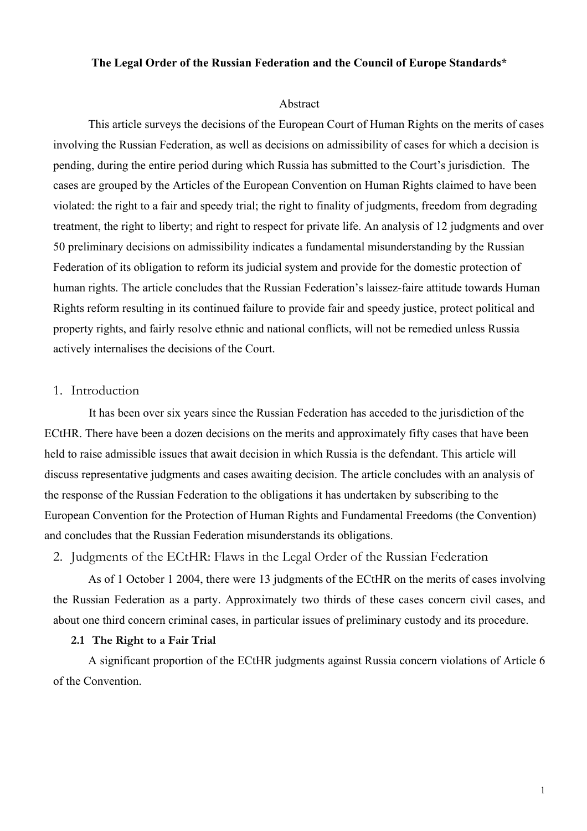#### **The Legal Order of the Russian Federation and the Council of Europe Standards\***

#### Abstract

This article surveys the decisions of the European Court of Human Rights on the merits of cases involving the Russian Federation, as well as decisions on admissibility of cases for which a decision is pending, during the entire period during which Russia has submitted to the Court's jurisdiction. The cases are grouped by the Articles of the European Convention on Human Rights claimed to have been violated: the right to a fair and speedy trial; the right to finality of judgments, freedom from degrading treatment, the right to liberty; and right to respect for private life. An analysis of 12 judgments and over 50 preliminary decisions on admissibility indicates a fundamental misunderstanding by the Russian Federation of its obligation to reform its judicial system and provide for the domestic protection of human rights. The article concludes that the Russian Federation's laissez-faire attitude towards Human Rights reform resulting in its continued failure to provide fair and speedy justice, protect political and property rights, and fairly resolve ethnic and national conflicts, will not be remedied unless Russia actively internalises the decisions of the Court.

### 1. Introduction

It has been over six years since the Russian Federation has acceded to the jurisdiction of the ECtHR. There have been a dozen decisions on the merits and approximately fifty cases that have been held to raise admissible issues that await decision in which Russia is the defendant. This article will discuss representative judgments and cases awaiting decision. The article concludes with an analysis of the response of the Russian Federation to the obligations it has undertaken by subscribing to the European Convention for the Protection of Human Rights and Fundamental Freedoms (the Convention) and concludes that the Russian Federation misunderstands its obligations.

2. Judgments of the ECtHR: Flaws in the Legal Order of the Russian Federation

As of 1 October 1 2004, there were 13 judgments of the ECtHR on the merits of cases involving the Russian Federation as a party. Approximately two thirds of these cases concern civil cases, and about one third concern criminal cases, in particular issues of preliminary custody and its procedure.

#### **2.1 The Right to a Fair Trial**

A significant proportion of the ECtHR judgments against Russia concern violations of Article 6 of the Convention.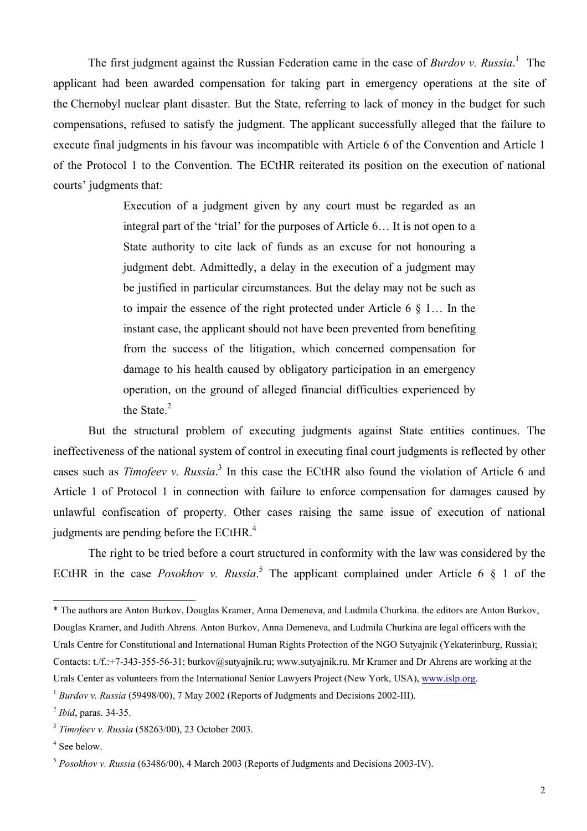The first judgment against the Russian Federation came in the case of *Burdov v. Russia*. 1 The applicant had been awarded compensation for taking part in emergency operations at the site of the Chernobyl nuclear plant disaster. But the State, referring to lack of money in the budget for such compensations, refused to satisfy the judgment. The applicant successfully alleged that the failure to execute final judgments in his favour was incompatible with Article 6 of the Convention and Article 1 of the Protocol 1 to the Convention. The ECtHR reiterated its position on the execution of national courts' judgments that:

> Execution of a judgment given by any court must be regarded as an integral part of the 'trial' for the purposes of Article 6… It is not open to a State authority to cite lack of funds as an excuse for not honouring a judgment debt. Admittedly, a delay in the execution of a judgment may be justified in particular circumstances. But the delay may not be such as to impair the essence of the right protected under Article 6 § 1… In the instant case, the applicant should not have been prevented from benefiting from the success of the litigation, which concerned compensation for damage to his health caused by obligatory participation in an emergency operation, on the ground of alleged financial difficulties experienced by the State.<sup>2</sup>

But the structural problem of executing judgments against State entities continues. The ineffectiveness of the national system of control in executing final court judgments is reflected by other cases such as *Timofeev v. Russia*. 3 In this case the ECtHR also found the violation of Article 6 and Article 1 of Protocol 1 in connection with failure to enforce compensation for damages caused by unlawful confiscation of property. Other cases raising the same issue of execution of national judgments are pending before the ECtHR.<sup>4</sup>

The right to be tried before a court structured in conformity with the law was considered by the ECtHR in the case *Posokhov v. Russia*.<sup>5</sup> The applicant complained under Article 6  $\S$  1 of the

<sup>\*</sup> The authors are Anton Burkov, Douglas Kramer, Anna Demeneva, and Ludmila Churkina. the editors are Anton Burkov, Douglas Kramer, and Judith Ahrens. Anton Burkov, Anna Demeneva, and Ludmila Churkina are legal officers with the Urals Centre for Constitutional and International Human Rights Protection of the NGO Sutyajnik (Yekaterinburg, Russia); Contacts: t./f.:+7-343-355-56-31; burkov@sutyajnik.ru; www.sutyajnik.ru. Mr Kramer and Dr Ahrens are working at the Urals Center as volunteers from the International Senior Lawyers Project (New York, USA), www.islp.org.

<sup>&</sup>lt;sup>1</sup> *Burdov v. Russia* (59498/00), 7 May 2002 (Reports of Judgments and Decisions 2002-III).

<sup>2</sup> *Ibid*, paras. 34-35.

<sup>3</sup> *Timofeev v. Russia* (58263/00), 23 October 2003.

<sup>4</sup> See below.

<sup>5</sup> *Posokhov v. Russia* (63486/00), 4 March 2003 (Reports of Judgments and Decisions 2003-IV).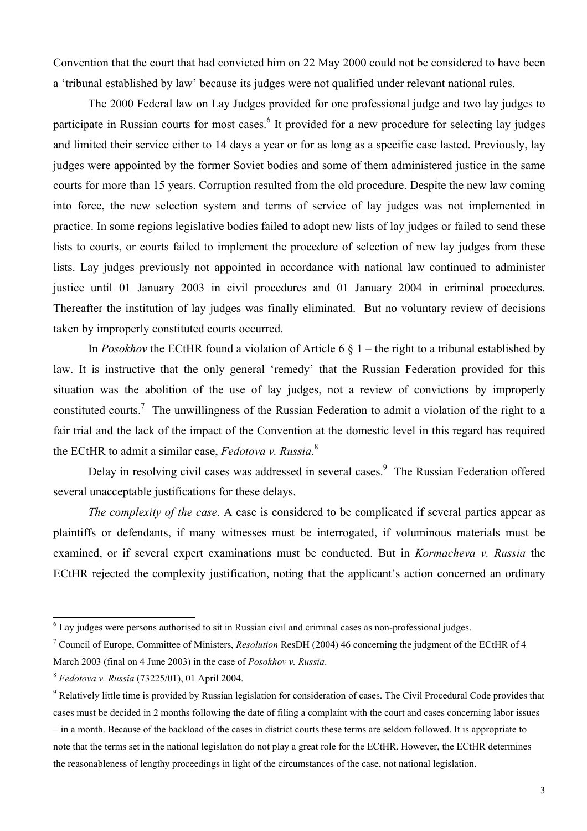Convention that the court that had convicted him on 22 May 2000 could not be considered to have been a 'tribunal established by law' because its judges were not qualified under relevant national rules.

The 2000 Federal law on Lay Judges provided for one professional judge and two lay judges to participate in Russian courts for most cases.<sup>6</sup> It provided for a new procedure for selecting lay judges and limited their service either to 14 days a year or for as long as a specific case lasted. Previously, lay judges were appointed by the former Soviet bodies and some of them administered justice in the same courts for more than 15 years. Corruption resulted from the old procedure. Despite the new law coming into force, the new selection system and terms of service of lay judges was not implemented in practice. In some regions legislative bodies failed to adopt new lists of lay judges or failed to send these lists to courts, or courts failed to implement the procedure of selection of new lay judges from these lists. Lay judges previously not appointed in accordance with national law continued to administer justice until 01 January 2003 in civil procedures and 01 January 2004 in criminal procedures. Thereafter the institution of lay judges was finally eliminated. But no voluntary review of decisions taken by improperly constituted courts occurred.

In *Posokhov* the ECtHR found a violation of Article 6 § 1 – the right to a tribunal established by law. It is instructive that the only general 'remedy' that the Russian Federation provided for this situation was the abolition of the use of lay judges, not a review of convictions by improperly constituted courts.<sup>7</sup> The unwillingness of the Russian Federation to admit a violation of the right to a fair trial and the lack of the impact of the Convention at the domestic level in this regard has required the ECtHR to admit a similar case, *Fedotova v. Russia*. 8

Delay in resolving civil cases was addressed in several cases.<sup>9</sup> The Russian Federation offered several unacceptable justifications for these delays.

*The complexity of the case*. A case is considered to be complicated if several parties appear as plaintiffs or defendants, if many witnesses must be interrogated, if voluminous materials must be examined, or if several expert examinations must be conducted. But in *Kormacheva v. Russia* the ECtHR rejected the complexity justification, noting that the applicant's action concerned an ordinary

<sup>&</sup>lt;sup>6</sup> Lay judges were persons authorised to sit in Russian civil and criminal cases as non-professional judges.

<sup>7</sup> Council of Europe, Committee of Ministers, *Resolution* ResDH (2004) 46 concerning the judgment of the ECtHR of 4 March 2003 (final on 4 June 2003) in the case of *Posokhov v. Russia*.

<sup>8</sup> *Fedotova v. Russia* (73225/01), 01 April 2004.

<sup>&</sup>lt;sup>9</sup> Relatively little time is provided by Russian legislation for consideration of cases. The Civil Procedural Code provides that cases must be decided in 2 months following the date of filing a complaint with the court and cases concerning labor issues – in a month. Because of the backload of the cases in district courts these terms are seldom followed. It is appropriate to note that the terms set in the national legislation do not play a great role for the ECtHR. However, the ECtHR determines the reasonableness of lengthy proceedings in light of the circumstances of the case, not national legislation.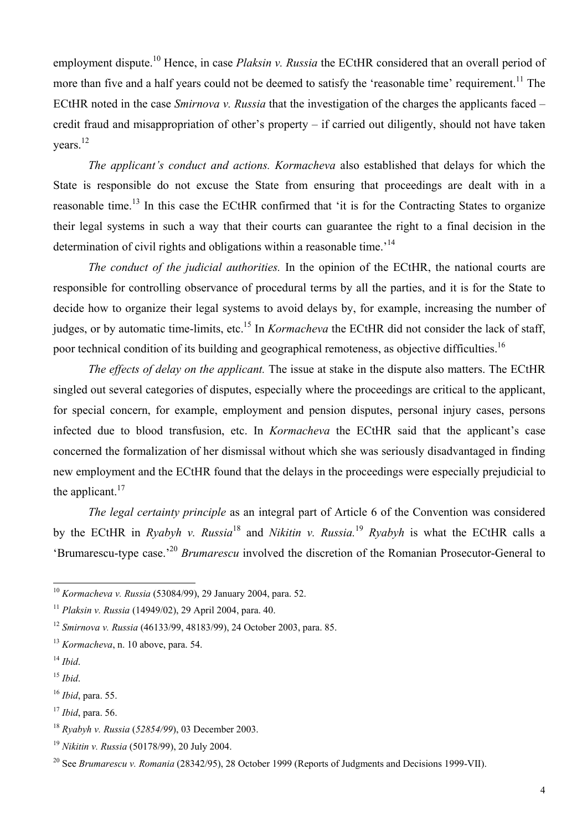employment dispute.10 Hence, in case *Plaksin v. Russia* the ECtHR considered that an overall period of more than five and a half years could not be deemed to satisfy the 'reasonable time' requirement.<sup>11</sup> The ECtHR noted in the case *Smirnova v. Russia* that the investigation of the charges the applicants faced – credit fraud and misappropriation of other's property – if carried out diligently, should not have taken years.<sup>12</sup>

*The applicant's conduct and actions. Kormacheva* also established that delays for which the State is responsible do not excuse the State from ensuring that proceedings are dealt with in a reasonable time.<sup>13</sup> In this case the ECtHR confirmed that 'it is for the Contracting States to organize their legal systems in such a way that their courts can guarantee the right to a final decision in the determination of civil rights and obligations within a reasonable time.<sup>14</sup>

*The conduct of the judicial authorities.* In the opinion of the ECtHR, the national courts are responsible for controlling observance of procedural terms by all the parties, and it is for the State to decide how to organize their legal systems to avoid delays by, for example, increasing the number of judges, or by automatic time-limits, etc.<sup>15</sup> In *Kormacheva* the ECtHR did not consider the lack of staff, poor technical condition of its building and geographical remoteness, as objective difficulties.<sup>16</sup>

*The effects of delay on the applicant.* The issue at stake in the dispute also matters. The ECtHR singled out several categories of disputes, especially where the proceedings are critical to the applicant, for special concern, for example, employment and pension disputes, personal injury cases, persons infected due to blood transfusion, etc. In *Kormacheva* the ECtHR said that the applicant's case concerned the formalization of her dismissal without which she was seriously disadvantaged in finding new employment and the ECtHR found that the delays in the proceedings were especially prejudicial to the applicant. $17$ 

*The legal certainty principle* as an integral part of Article 6 of the Convention was considered by the ECtHR in *Ryabyh v. Russia*18 and *Nikitin v. Russia.*<sup>19</sup> *Ryabyh* is what the ECtHR calls a 'Brumarescu-type case.'<sup>20</sup> *Brumarescu* involved the discretion of the Romanian Prosecutor-General to

<sup>10</sup> *Kormacheva v. Russia* (53084/99), 29 January 2004, para. 52.

<sup>11</sup> *Plaksin v. Russia* (14949/02), 29 April 2004, para. 40.

<sup>12</sup> *Smirnova v. Russia* (46133/99, 48183/99), 24 October 2003, para. 85.

<sup>13</sup> *Kormacheva*, n. 10 above, para. 54.

<sup>14</sup> *Ibid*.

<sup>15</sup> *Ibid*.

<sup>16</sup> *Ibid*, para. 55.

<sup>17</sup> *Ibid*, para. 56.

<sup>18</sup> *Ryabyh v. Russia* (*52854/99*), 03 December 2003.

<sup>19</sup> *Nikitin v. Russia* (50178/99), 20 July 2004.

<sup>20</sup> See *Brumarescu v. Romania* (28342/95), 28 October 1999 (Reports of Judgments and Decisions 1999-VII).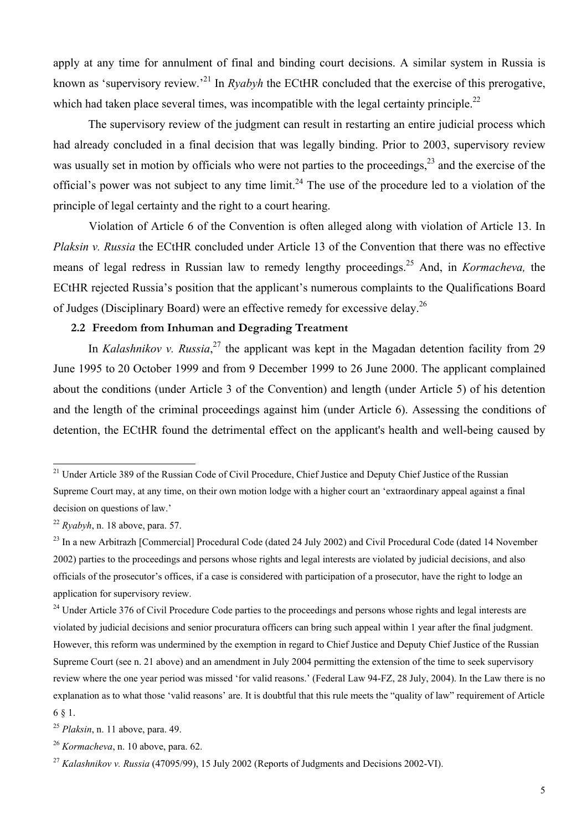apply at any time for annulment of final and binding court decisions. A similar system in Russia is known as 'supervisory review.'21 In *Ryabyh* the ECtHR concluded that the exercise of this prerogative, which had taken place several times, was incompatible with the legal certainty principle.<sup>22</sup>

The supervisory review of the judgment can result in restarting an entire judicial process which had already concluded in a final decision that was legally binding. Prior to 2003, supervisory review was usually set in motion by officials who were not parties to the proceedings.<sup>23</sup> and the exercise of the official's power was not subject to any time  $\lim_{x \to 2^4}$  The use of the procedure led to a violation of the principle of legal certainty and the right to a court hearing.

 Violation of Article 6 of the Convention is often alleged along with violation of Article 13. In *Plaksin v. Russia* the ECtHR concluded under Article 13 of the Convention that there was no effective means of legal redress in Russian law to remedy lengthy proceedings.25 And, in *Kormacheva,* the ECtHR rejected Russia's position that the applicant's numerous complaints to the Qualifications Board of Judges (Disciplinary Board) were an effective remedy for excessive delay.26

## **2.2 Freedom from Inhuman and Degrading Treatment**

In *Kalashnikov v. Russia*,<sup>27</sup> the applicant was kept in the Magadan detention facility from 29 June 1995 to 20 October 1999 and from 9 December 1999 to 26 June 2000. The applicant complained about the conditions (under Article 3 of the Convention) and length (under Article 5) of his detention and the length of the criminal proceedings against him (under Article 6). Assessing the conditions of detention, the ECtHR found the detrimental effect on the applicant's health and well-being caused by

<sup>&</sup>lt;sup>21</sup> Under Article 389 of the Russian Code of Civil Procedure, Chief Justice and Deputy Chief Justice of the Russian Supreme Court may, at any time, on their own motion lodge with a higher court an 'extraordinary appeal against a final decision on questions of law.'

<sup>22</sup> *Ryabyh*, n. 18 above, para. 57.

<sup>&</sup>lt;sup>23</sup> In a new Arbitrazh [Commercial] Procedural Code (dated 24 July 2002) and Civil Procedural Code (dated 14 November 2002) parties to the proceedings and persons whose rights and legal interests are violated by judicial decisions, and also officials of the prosecutor's offices, if a case is considered with participation of a prosecutor, have the right to lodge an application for supervisory review.

<sup>&</sup>lt;sup>24</sup> Under Article 376 of Civil Procedure Code parties to the proceedings and persons whose rights and legal interests are violated by judicial decisions and senior procuratura officers can bring such appeal within 1 year after the final judgment. However, this reform was undermined by the exemption in regard to Chief Justice and Deputy Chief Justice of the Russian Supreme Court (see n. 21 above) and an amendment in July 2004 permitting the extension of the time to seek supervisory review where the one year period was missed 'for valid reasons.' (Federal Law 94-FZ, 28 July, 2004). In the Law there is no explanation as to what those 'valid reasons' are. It is doubtful that this rule meets the "quality of law" requirement of Article 6 § 1.

<sup>25</sup> *Plaksin*, n. 11 above, para. 49.

<sup>26</sup> *Kormacheva*, n. 10 above, para. 62.

<sup>27</sup> *Kalashnikov v. Russia* (47095/99), 15 July 2002 (Reports of Judgments and Decisions 2002-VI).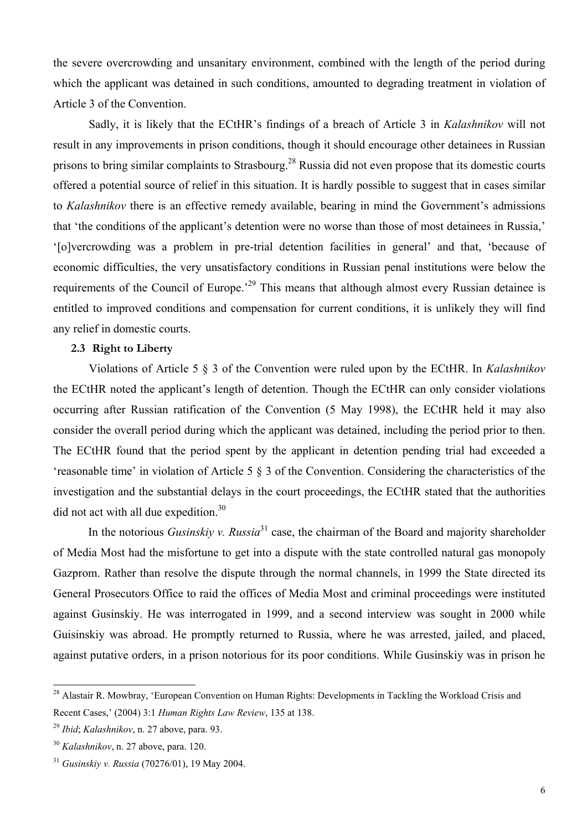the severe overcrowding and unsanitary environment, combined with the length of the period during which the applicant was detained in such conditions, amounted to degrading treatment in violation of Article 3 of the Convention.

 Sadly, it is likely that the ECtHR's findings of a breach of Article 3 in *Kalashnikov* will not result in any improvements in prison conditions, though it should encourage other detainees in Russian prisons to bring similar complaints to Strasbourg.<sup>28</sup> Russia did not even propose that its domestic courts offered a potential source of relief in this situation. It is hardly possible to suggest that in cases similar to *Kalashnikov* there is an effective remedy available, bearing in mind the Government's admissions that 'the conditions of the applicant's detention were no worse than those of most detainees in Russia,' '[o]vercrowding was a problem in pre-trial detention facilities in general' and that, 'because of economic difficulties, the very unsatisfactory conditions in Russian penal institutions were below the requirements of the Council of Europe.<sup>29</sup> This means that although almost every Russian detainee is entitled to improved conditions and compensation for current conditions, it is unlikely they will find any relief in domestic courts.

#### **2.3 Right to Liberty**

Violations of Article 5 § 3 of the Convention were ruled upon by the ECtHR. In *Kalashnikov* the ECtHR noted the applicant's length of detention. Though the ECtHR can only consider violations occurring after Russian ratification of the Convention (5 May 1998), the ECtHR held it may also consider the overall period during which the applicant was detained, including the period prior to then. The ECtHR found that the period spent by the applicant in detention pending trial had exceeded a 'reasonable time' in violation of Article 5 § 3 of the Convention. Considering the characteristics of the investigation and the substantial delays in the court proceedings, the ECtHR stated that the authorities did not act with all due expedition.<sup>30</sup>

In the notorious *Gusinskiy v. Russia*<sup>31</sup> case, the chairman of the Board and majority shareholder of Media Most had the misfortune to get into a dispute with the state controlled natural gas monopoly Gazprom. Rather than resolve the dispute through the normal channels, in 1999 the State directed its General Prosecutors Office to raid the offices of Media Most and criminal proceedings were instituted against Gusinskiy. He was interrogated in 1999, and a second interview was sought in 2000 while Guisinskiy was abroad. He promptly returned to Russia, where he was arrested, jailed, and placed, against putative orders, in a prison notorious for its poor conditions. While Gusinskiy was in prison he

<sup>&</sup>lt;sup>28</sup> Alastair R. Mowbray, 'European Convention on Human Rights: Developments in Tackling the Workload Crisis and Recent Cases,' (2004) 3:1 *Human Rights Law Review*, 135 at 138.

<sup>29</sup> *Ibid*; *Kalashnikov*, n. 27 above, para. 93.

<sup>30</sup> *Kalashnikov*, n. 27 above, para. 120.

<sup>31</sup> *Gusinskiy v. Russia* (70276/01), 19 May 2004.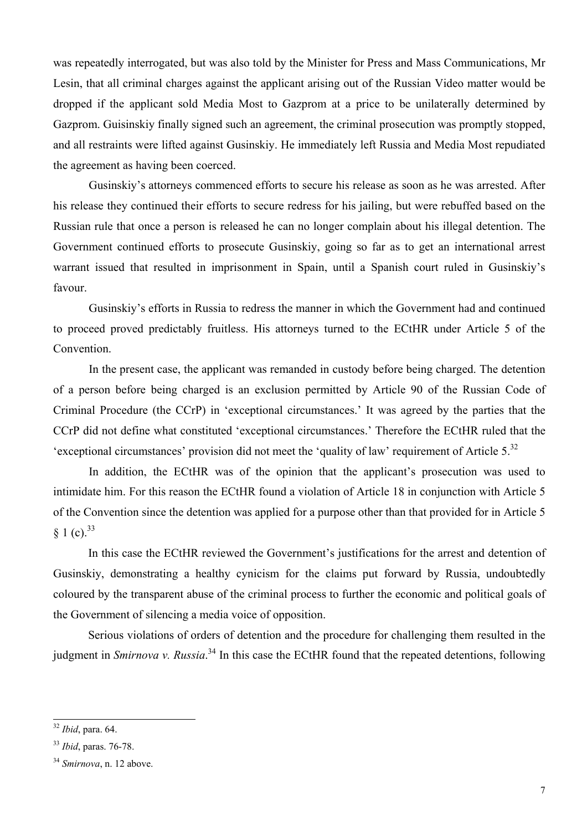was repeatedly interrogated, but was also told by the Minister for Press and Mass Communications, Mr Lesin, that all criminal charges against the applicant arising out of the Russian Video matter would be dropped if the applicant sold Media Most to Gazprom at a price to be unilaterally determined by Gazprom. Guisinskiy finally signed such an agreement, the criminal prosecution was promptly stopped, and all restraints were lifted against Gusinskiy. He immediately left Russia and Media Most repudiated the agreement as having been coerced.

Gusinskiy's attorneys commenced efforts to secure his release as soon as he was arrested. After his release they continued their efforts to secure redress for his jailing, but were rebuffed based on the Russian rule that once a person is released he can no longer complain about his illegal detention. The Government continued efforts to prosecute Gusinskiy, going so far as to get an international arrest warrant issued that resulted in imprisonment in Spain, until a Spanish court ruled in Gusinskiy's favour.

Gusinskiy's efforts in Russia to redress the manner in which the Government had and continued to proceed proved predictably fruitless. His attorneys turned to the ECtHR under Article 5 of the Convention.

In the present case, the applicant was remanded in custody before being charged. The detention of a person before being charged is an exclusion permitted by Article 90 of the Russian Code of Criminal Procedure (the CCrP) in 'exceptional circumstances.' It was agreed by the parties that the CCrP did not define what constituted 'exceptional circumstances.' Therefore the ECtHR ruled that the 'exceptional circumstances' provision did not meet the 'quality of law' requirement of Article 5.32

In addition, the ECtHR was of the opinion that the applicant's prosecution was used to intimidate him. For this reason the ECtHR found a violation of Article 18 in conjunction with Article 5 of the Convention since the detention was applied for a purpose other than that provided for in Article 5  $§ 1 (c).^{33}$ 

In this case the ECtHR reviewed the Government's justifications for the arrest and detention of Gusinskiy, demonstrating a healthy cynicism for the claims put forward by Russia, undoubtedly coloured by the transparent abuse of the criminal process to further the economic and political goals of the Government of silencing a media voice of opposition.

Serious violations of orders of detention and the procedure for challenging them resulted in the judgment in *Smirnova v. Russia*. 34 In this case the ECtHR found that the repeated detentions, following

<sup>32</sup> *Ibid*, para. 64.

<sup>33</sup> *Ibid*, paras. 76-78.

<sup>34</sup> *Smirnova*, n. 12 above.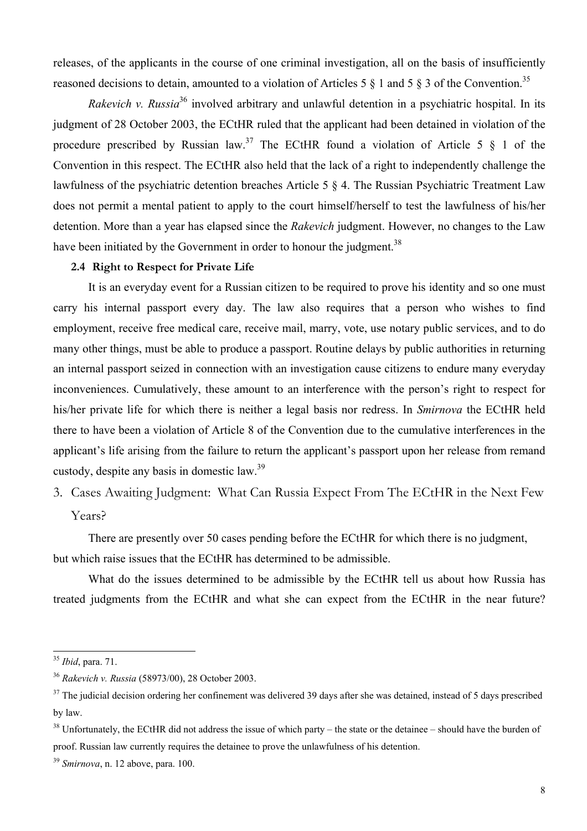releases, of the applicants in the course of one criminal investigation, all on the basis of insufficiently reasoned decisions to detain, amounted to a violation of Articles 5  $\frac{8}{1}$  and 5  $\frac{8}{3}$  of the Convention.<sup>35</sup>

*Rakevich v. Russia*<sup>36</sup> involved arbitrary and unlawful detention in a psychiatric hospital. In its judgment of 28 October 2003, the ECtHR ruled that the applicant had been detained in violation of the procedure prescribed by Russian law.<sup>37</sup> The ECtHR found a violation of Article 5  $\S$  1 of the Convention in this respect. The ECtHR also held that the lack of a right to independently challenge the lawfulness of the psychiatric detention breaches Article 5 § 4. The Russian Psychiatric Treatment Law does not permit a mental patient to apply to the court himself/herself to test the lawfulness of his/her detention. More than a year has elapsed since the *Rakevich* judgment. However, no changes to the Law have been initiated by the Government in order to honour the judgment.<sup>38</sup>

### **2.4 Right to Respect for Private Life**

It is an everyday event for a Russian citizen to be required to prove his identity and so one must carry his internal passport every day. The law also requires that a person who wishes to find employment, receive free medical care, receive mail, marry, vote, use notary public services, and to do many other things, must be able to produce a passport. Routine delays by public authorities in returning an internal passport seized in connection with an investigation cause citizens to endure many everyday inconveniences. Cumulatively, these amount to an interference with the person's right to respect for his/her private life for which there is neither a legal basis nor redress. In *Smirnova* the ECtHR held there to have been a violation of Article 8 of the Convention due to the cumulative interferences in the applicant's life arising from the failure to return the applicant's passport upon her release from remand custody, despite any basis in domestic law.<sup>39</sup>

3. Cases Awaiting Judgment: What Can Russia Expect From The ECtHR in the Next Few Years?

There are presently over 50 cases pending before the ECtHR for which there is no judgment, but which raise issues that the ECtHR has determined to be admissible.

What do the issues determined to be admissible by the ECtHR tell us about how Russia has treated judgments from the ECtHR and what she can expect from the ECtHR in the near future?

<sup>35</sup> *Ibid*, para. 71.

<sup>36</sup> *Rakevich v. Russia* (58973/00), 28 October 2003.

<sup>&</sup>lt;sup>37</sup> The judicial decision ordering her confinement was delivered 39 days after she was detained, instead of 5 days prescribed by law.

 $38$  Unfortunately, the ECtHR did not address the issue of which party – the state or the detainee – should have the burden of proof. Russian law currently requires the detainee to prove the unlawfulness of his detention.

<sup>39</sup> *Smirnova*, n. 12 above, para. 100.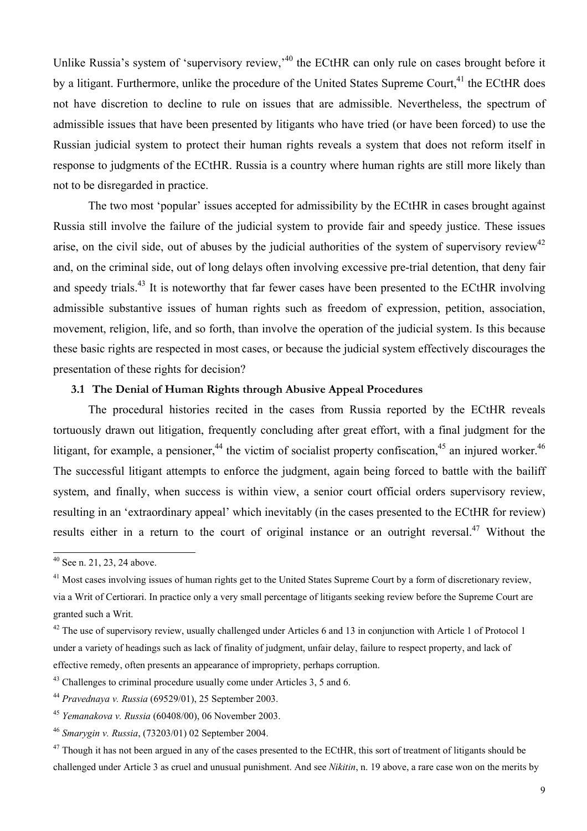Unlike Russia's system of 'supervisory review,<sup>40</sup> the ECtHR can only rule on cases brought before it by a litigant. Furthermore, unlike the procedure of the United States Supreme Court.<sup>41</sup> the ECtHR does not have discretion to decline to rule on issues that are admissible. Nevertheless, the spectrum of admissible issues that have been presented by litigants who have tried (or have been forced) to use the Russian judicial system to protect their human rights reveals a system that does not reform itself in response to judgments of the ECtHR. Russia is a country where human rights are still more likely than not to be disregarded in practice.

The two most 'popular' issues accepted for admissibility by the ECtHR in cases brought against Russia still involve the failure of the judicial system to provide fair and speedy justice. These issues arise, on the civil side, out of abuses by the judicial authorities of the system of supervisory review<sup>42</sup> and, on the criminal side, out of long delays often involving excessive pre-trial detention, that deny fair and speedy trials.<sup>43</sup> It is noteworthy that far fewer cases have been presented to the ECtHR involving admissible substantive issues of human rights such as freedom of expression, petition, association, movement, religion, life, and so forth, than involve the operation of the judicial system. Is this because these basic rights are respected in most cases, or because the judicial system effectively discourages the presentation of these rights for decision?

#### **3.1 The Denial of Human Rights through Abusive Appeal Procedures**

The procedural histories recited in the cases from Russia reported by the ECtHR reveals tortuously drawn out litigation, frequently concluding after great effort, with a final judgment for the litigant, for example, a pensioner, <sup>44</sup> the victim of socialist property confiscation.<sup>45</sup> an injured worker.<sup>46</sup> The successful litigant attempts to enforce the judgment, again being forced to battle with the bailiff system, and finally, when success is within view, a senior court official orders supervisory review, resulting in an 'extraordinary appeal' which inevitably (in the cases presented to the ECtHR for review) results either in a return to the court of original instance or an outright reversal.<sup>47</sup> Without the

 $40$  See n. 21, 23, 24 above.

<sup>&</sup>lt;sup>41</sup> Most cases involving issues of human rights get to the United States Supreme Court by a form of discretionary review, via a Writ of Certiorari. In practice only a very small percentage of litigants seeking review before the Supreme Court are granted such a Writ.

 $42$  The use of supervisory review, usually challenged under Articles 6 and 13 in conjunction with Article 1 of Protocol 1 under a variety of headings such as lack of finality of judgment, unfair delay, failure to respect property, and lack of effective remedy, often presents an appearance of impropriety, perhaps corruption.

<sup>&</sup>lt;sup>43</sup> Challenges to criminal procedure usually come under Articles 3, 5 and 6.

<sup>44</sup> *Pravednaya v. Russia* (69529/01), 25 September 2003.

<sup>45</sup> *Yemanakova v. Russia* (60408/00), 06 November 2003.

<sup>46</sup> *Smarygin v. Russia*, (73203/01) 02 September 2004.

 $47$  Though it has not been argued in any of the cases presented to the ECtHR, this sort of treatment of litigants should be challenged under Article 3 as cruel and unusual punishment. And see *Nikitin*, n. 19 above, a rare case won on the merits by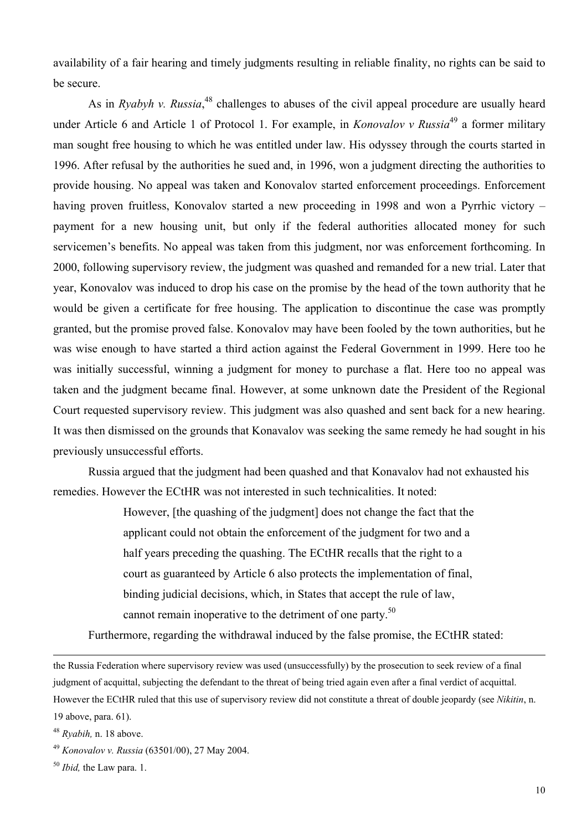availability of a fair hearing and timely judgments resulting in reliable finality, no rights can be said to be secure.

As in *Ryabyh v. Russia*<sup>48</sup>, challenges to abuses of the civil appeal procedure are usually heard under Article 6 and Article 1 of Protocol 1. For example, in *Konovalov v Russia*49 a former military man sought free housing to which he was entitled under law. His odyssey through the courts started in 1996. After refusal by the authorities he sued and, in 1996, won a judgment directing the authorities to provide housing. No appeal was taken and Konovalov started enforcement proceedings. Enforcement having proven fruitless, Konovalov started a new proceeding in 1998 and won a Pyrrhic victory – payment for a new housing unit, but only if the federal authorities allocated money for such servicemen's benefits. No appeal was taken from this judgment, nor was enforcement forthcoming. In 2000, following supervisory review, the judgment was quashed and remanded for a new trial. Later that year, Konovalov was induced to drop his case on the promise by the head of the town authority that he would be given a certificate for free housing. The application to discontinue the case was promptly granted, but the promise proved false. Konovalov may have been fooled by the town authorities, but he was wise enough to have started a third action against the Federal Government in 1999. Here too he was initially successful, winning a judgment for money to purchase a flat. Here too no appeal was taken and the judgment became final. However, at some unknown date the President of the Regional Court requested supervisory review. This judgment was also quashed and sent back for a new hearing. It was then dismissed on the grounds that Konavalov was seeking the same remedy he had sought in his previously unsuccessful efforts.

Russia argued that the judgment had been quashed and that Konavalov had not exhausted his remedies. However the ECtHR was not interested in such technicalities. It noted:

> However, [the quashing of the judgment] does not change the fact that the applicant could not obtain the enforcement of the judgment for two and a half years preceding the quashing. The ECtHR recalls that the right to a court as guaranteed by Article 6 also protects the implementation of final, binding judicial decisions, which, in States that accept the rule of law, cannot remain inoperative to the detriment of one party.<sup>50</sup>

Furthermore, regarding the withdrawal induced by the false promise, the ECtHR stated:

the Russia Federation where supervisory review was used (unsuccessfully) by the prosecution to seek review of a final judgment of acquittal, subjecting the defendant to the threat of being tried again even after a final verdict of acquittal. However the ECtHR ruled that this use of supervisory review did not constitute a threat of double jeopardy (see *Nikitin*, n. 19 above, para. 61).

<sup>48</sup> *Ryabih,* n. 18 above.

<sup>49</sup> *Konovalov v. Russia* (63501/00), 27 May 2004.

<sup>50</sup> *Ibid,* the Law para. 1.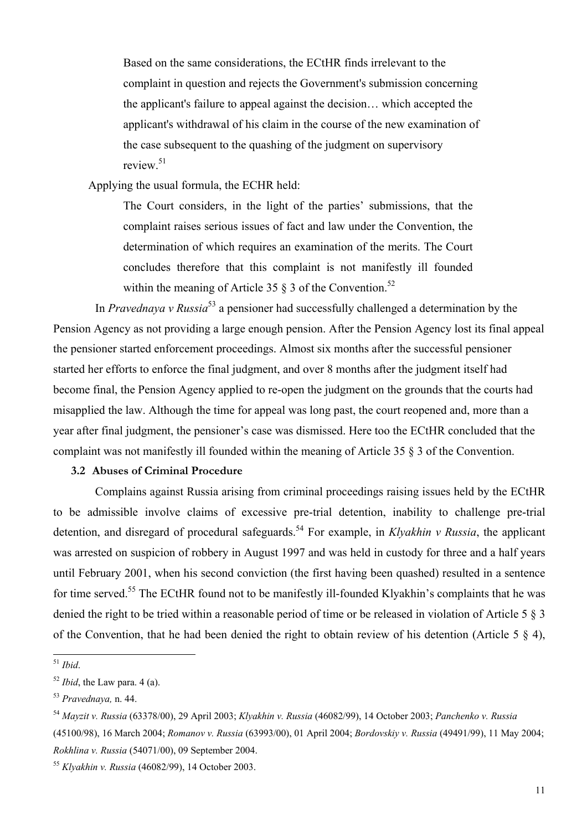Based on the same considerations, the ECtHR finds irrelevant to the complaint in question and rejects the Government's submission concerning the applicant's failure to appeal against the decision… which accepted the applicant's withdrawal of his claim in the course of the new examination of the case subsequent to the quashing of the judgment on supervisory review<sup>51</sup>

Applying the usual formula, the ECHR held:

The Court considers, in the light of the parties' submissions, that the complaint raises serious issues of fact and law under the Convention, the determination of which requires an examination of the merits. The Court concludes therefore that this complaint is not manifestly ill founded within the meaning of Article 35  $\S$  3 of the Convention.<sup>52</sup>

In *Pravednaya v Russia*53 a pensioner had successfully challenged a determination by the Pension Agency as not providing a large enough pension. After the Pension Agency lost its final appeal the pensioner started enforcement proceedings. Almost six months after the successful pensioner started her efforts to enforce the final judgment, and over 8 months after the judgment itself had become final, the Pension Agency applied to re-open the judgment on the grounds that the courts had misapplied the law. Although the time for appeal was long past, the court reopened and, more than a year after final judgment, the pensioner's case was dismissed. Here too the ECtHR concluded that the complaint was not manifestly ill founded within the meaning of Article 35 § 3 of the Convention.

## **3.2 Abuses of Criminal Procedure**

Complains against Russia arising from criminal proceedings raising issues held by the ECtHR to be admissible involve claims of excessive pre-trial detention, inability to challenge pre-trial detention, and disregard of procedural safeguards.<sup>54</sup> For example, in *Klyakhin v Russia*, the applicant was arrested on suspicion of robbery in August 1997 and was held in custody for three and a half years until February 2001, when his second conviction (the first having been quashed) resulted in a sentence for time served.<sup>55</sup> The ECtHR found not to be manifestly ill-founded Klyakhin's complaints that he was denied the right to be tried within a reasonable period of time or be released in violation of Article 5 § 3 of the Convention, that he had been denied the right to obtain review of his detention (Article 5 § 4),

<sup>51</sup> *Ibid*.

<sup>52</sup> *Ibid*, the Law para. 4 (a).

<sup>53</sup> *Pravednaya,* n. 44.

<sup>54</sup> *Mayzit v. Russia* (63378/00), 29 April 2003; *Klyakhin v. Russia* (46082/99), 14 October 2003; *Panchenko v. Russia* (45100/98), 16 March 2004; *Romanov v. Russia* (63993/00), 01 April 2004; *Bordovskiy v. Russia* (49491/99), 11 May 2004; *Rokhlina v. Russia* (54071/00), 09 September 2004.

<sup>55</sup> *Klyakhin v. Russia* (46082/99), 14 October 2003.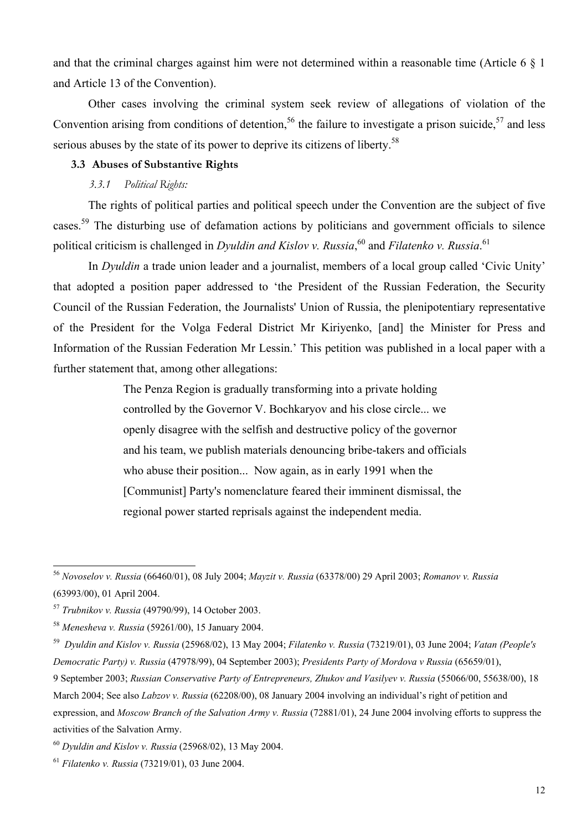and that the criminal charges against him were not determined within a reasonable time (Article 6 § 1 and Article 13 of the Convention).

Other cases involving the criminal system seek review of allegations of violation of the Convention arising from conditions of detention,<sup>56</sup> the failure to investigate a prison suicide,<sup>57</sup> and less serious abuses by the state of its power to deprive its citizens of liberty.<sup>58</sup>

### **3.3 Abuses of Substantive Rights**

## *3.3.1 Political Rights:*

The rights of political parties and political speech under the Convention are the subject of five cases.<sup>59</sup> The disturbing use of defamation actions by politicians and government officials to silence political criticism is challenged in *Dyuldin and Kislov v. Russia*,<sup>60</sup> and *Filatenko v. Russia*.<sup>61</sup>

In *Dyuldin* a trade union leader and a journalist, members of a local group called 'Civic Unity' that adopted a position paper addressed to 'the President of the Russian Federation, the Security Council of the Russian Federation, the Journalists' Union of Russia, the plenipotentiary representative of the President for the Volga Federal District Mr Kiriyenko, [and] the Minister for Press and Information of the Russian Federation Mr Lessin.' This petition was published in a local paper with a further statement that, among other allegations:

> The Penza Region is gradually transforming into a private holding controlled by the Governor V. Bochkaryov and his close circle... we openly disagree with the selfish and destructive policy of the governor and his team, we publish materials denouncing bribe-takers and officials who abuse their position... Now again, as in early 1991 when the [Communist] Party's nomenclature feared their imminent dismissal, the regional power started reprisals against the independent media.

<sup>56</sup> *Novoselov v. Russia* (66460/01), 08 July 2004; *Mayzit v. Russia* (63378/00) 29 April 2003; *Romanov v. Russia* (63993/00), 01 April 2004.

<sup>57</sup> *Trubnikov v. Russia* (49790/99), 14 October 2003.

<sup>58</sup> *Menesheva v. Russia* (59261/00), 15 January 2004.

<sup>59</sup> *Dyuldin and Kislov v. Russia* (25968/02), 13 May 2004; *Filatenko v. Russia* (73219/01), 03 June 2004; *Vatan (People's Democratic Party) v. Russia* (47978/99), 04 September 2003); *Presidents Party of Mordova v Russia* (65659/01),

<sup>9</sup> September 2003; *Russian Conservative Party of Entrepreneurs, Zhukov and Vasilyev v. Russia* (55066/00, 55638/00), 18 March 2004; See also *Labzov v. Russia* (62208/00), 08 January 2004 involving an individual's right of petition and expression, and *Moscow Branch of the Salvation Army v. Russia* (72881/01), 24 June 2004 involving efforts to suppress the activities of the Salvation Army.

<sup>60</sup> *Dyuldin and Kislov v. Russia* (25968/02), 13 May 2004.

<sup>61</sup> *Filatenko v. Russia* (73219/01), 03 June 2004.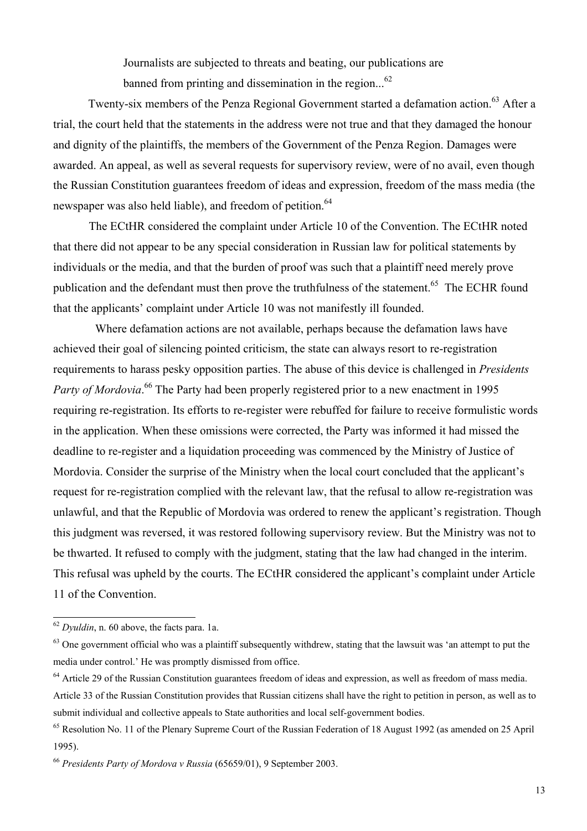Journalists are subjected to threats and beating, our publications are banned from printing and dissemination in the region... $^{62}$ 

Twenty-six members of the Penza Regional Government started a defamation action.<sup>63</sup> After a trial, the court held that the statements in the address were not true and that they damaged the honour and dignity of the plaintiffs, the members of the Government of the Penza Region. Damages were awarded. An appeal, as well as several requests for supervisory review, were of no avail, even though the Russian Constitution guarantees freedom of ideas and expression, freedom of the mass media (the newspaper was also held liable), and freedom of petition.<sup>64</sup>

 The ECtHR considered the complaint under Article 10 of the Convention. The ECtHR noted that there did not appear to be any special consideration in Russian law for political statements by individuals or the media, and that the burden of proof was such that a plaintiff need merely prove publication and the defendant must then prove the truthfulness of the statement.<sup>65</sup> The ECHR found that the applicants' complaint under Article 10 was not manifestly ill founded.

Where defamation actions are not available, perhaps because the defamation laws have achieved their goal of silencing pointed criticism, the state can always resort to re-registration requirements to harass pesky opposition parties. The abuse of this device is challenged in *Presidents*  Party of Mordovia.<sup>66</sup> The Party had been properly registered prior to a new enactment in 1995 requiring re-registration. Its efforts to re-register were rebuffed for failure to receive formulistic words in the application. When these omissions were corrected, the Party was informed it had missed the deadline to re-register and a liquidation proceeding was commenced by the Ministry of Justice of Mordovia. Consider the surprise of the Ministry when the local court concluded that the applicant's request for re-registration complied with the relevant law, that the refusal to allow re-registration was unlawful, and that the Republic of Mordovia was ordered to renew the applicant's registration. Though this judgment was reversed, it was restored following supervisory review. But the Ministry was not to be thwarted. It refused to comply with the judgment, stating that the law had changed in the interim. This refusal was upheld by the courts. The ECtHR considered the applicant's complaint under Article 11 of the Convention.

<sup>62</sup> *Dyuldin*, n. 60 above, the facts para. 1a.

 $63$  One government official who was a plaintiff subsequently withdrew, stating that the lawsuit was 'an attempt to put the media under control.' He was promptly dismissed from office.

<sup>&</sup>lt;sup>64</sup> Article 29 of the Russian Constitution guarantees freedom of ideas and expression, as well as freedom of mass media. Article 33 of the Russian Constitution provides that Russian citizens shall have the right to petition in person, as well as to submit individual and collective appeals to State authorities and local self-government bodies.

 $65$  Resolution No. 11 of the Plenary Supreme Court of the Russian Federation of 18 August 1992 (as amended on 25 April 1995).

<sup>66</sup> *Presidents Party of Mordova v Russia* (65659/01), 9 September 2003.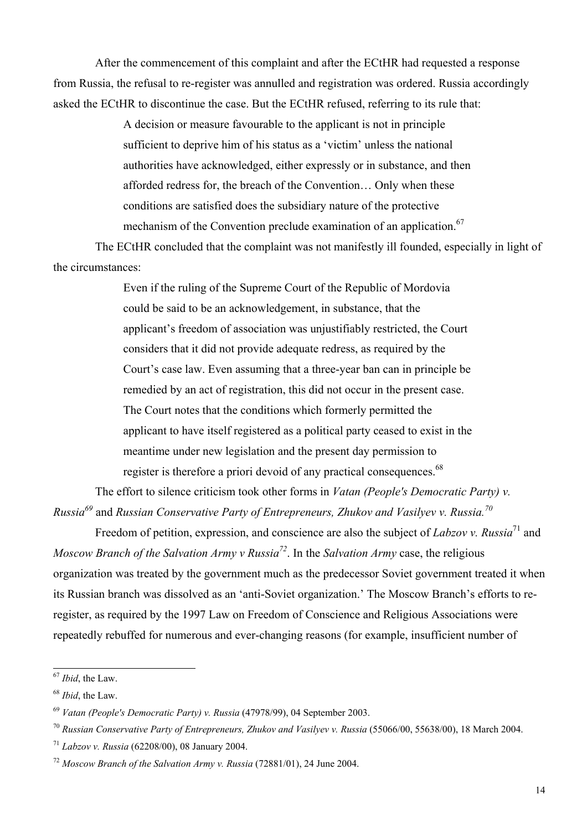After the commencement of this complaint and after the ECtHR had requested a response from Russia, the refusal to re-register was annulled and registration was ordered. Russia accordingly asked the ECtHR to discontinue the case. But the ECtHR refused, referring to its rule that:

> A decision or measure favourable to the applicant is not in principle sufficient to deprive him of his status as a 'victim' unless the national authorities have acknowledged, either expressly or in substance, and then afforded redress for, the breach of the Convention… Only when these conditions are satisfied does the subsidiary nature of the protective mechanism of the Convention preclude examination of an application.<sup>67</sup>

The ECtHR concluded that the complaint was not manifestly ill founded, especially in light of the circumstances:

> Even if the ruling of the Supreme Court of the Republic of Mordovia could be said to be an acknowledgement, in substance, that the applicant's freedom of association was unjustifiably restricted, the Court considers that it did not provide adequate redress, as required by the Court's case law. Even assuming that a three-year ban can in principle be remedied by an act of registration, this did not occur in the present case. The Court notes that the conditions which formerly permitted the applicant to have itself registered as a political party ceased to exist in the meantime under new legislation and the present day permission to register is therefore a priori devoid of any practical consequences.<sup>68</sup>

The effort to silence criticism took other forms in *Vatan (People's Democratic Party) v. Russia69* and *Russian Conservative Party of Entrepreneurs, Zhukov and Vasilyev v. Russia.70*

Freedom of petition, expression, and conscience are also the subject of *Labzov v. Russia*<sup>71</sup> and *Moscow Branch of the Salvation Army v Russia72*. In the *Salvation Army* case, the religious organization was treated by the government much as the predecessor Soviet government treated it when its Russian branch was dissolved as an 'anti-Soviet organization.' The Moscow Branch's efforts to reregister, as required by the 1997 Law on Freedom of Conscience and Religious Associations were repeatedly rebuffed for numerous and ever-changing reasons (for example, insufficient number of

 $\overline{\phantom{a}}$ 

<sup>67</sup> *Ibid*, the Law.

<sup>68</sup> *Ibid*, the Law.

<sup>69</sup> *Vatan (People's Democratic Party) v. Russia* (47978/99), 04 September 2003.

<sup>70</sup> *Russian Conservative Party of Entrepreneurs, Zhukov and Vasilyev v. Russia* (55066/00, 55638/00), 18 March 2004.

<sup>71</sup> *Labzov v. Russia* (62208/00), 08 January 2004.

<sup>72</sup> *Moscow Branch of the Salvation Army v. Russia* (72881/01), 24 June 2004.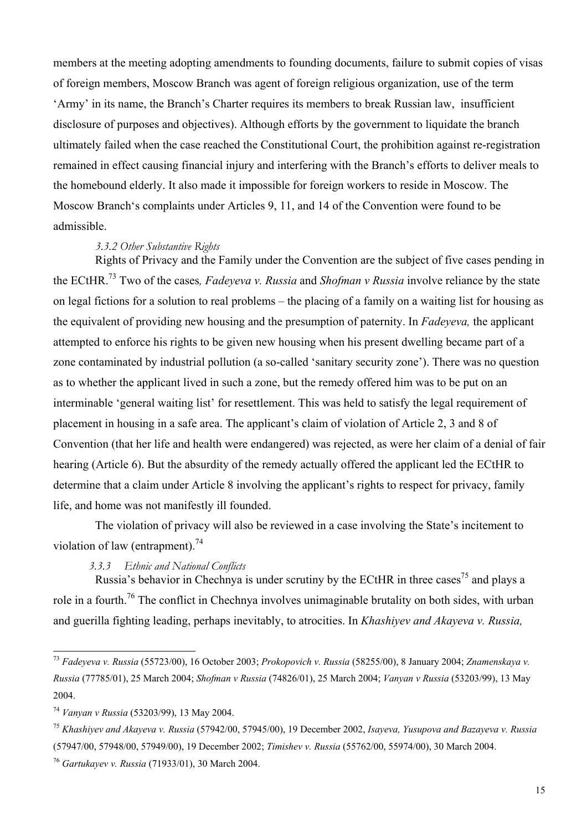members at the meeting adopting amendments to founding documents, failure to submit copies of visas of foreign members, Moscow Branch was agent of foreign religious organization, use of the term 'Army' in its name, the Branch's Charter requires its members to break Russian law, insufficient disclosure of purposes and objectives). Although efforts by the government to liquidate the branch ultimately failed when the case reached the Constitutional Court, the prohibition against re-registration remained in effect causing financial injury and interfering with the Branch's efforts to deliver meals to the homebound elderly. It also made it impossible for foreign workers to reside in Moscow. The Moscow Branch's complaints under Articles 9, 11, and 14 of the Convention were found to be admissible.

#### *3.3.2 Other Substantive Rights*

Rights of Privacy and the Family under the Convention are the subject of five cases pending in the ECtHR.73 Two of the cases*, Fadeyeva v. Russia* and *Shofman v Russia* involve reliance by the state on legal fictions for a solution to real problems – the placing of a family on a waiting list for housing as the equivalent of providing new housing and the presumption of paternity. In *Fadeyeva,* the applicant attempted to enforce his rights to be given new housing when his present dwelling became part of a zone contaminated by industrial pollution (a so-called 'sanitary security zone'). There was no question as to whether the applicant lived in such a zone, but the remedy offered him was to be put on an interminable 'general waiting list' for resettlement. This was held to satisfy the legal requirement of placement in housing in a safe area. The applicant's claim of violation of Article 2, 3 and 8 of Convention (that her life and health were endangered) was rejected, as were her claim of a denial of fair hearing (Article 6). But the absurdity of the remedy actually offered the applicant led the ECtHR to determine that a claim under Article 8 involving the applicant's rights to respect for privacy, family life, and home was not manifestly ill founded.

The violation of privacy will also be reviewed in a case involving the State's incitement to violation of law (entrapment) $^{74}$ 

### *3.3.3 Ethnic and National Conflicts*

Russia's behavior in Chechnya is under scrutiny by the ECtHR in three cases<sup>75</sup> and plays a role in a fourth.<sup>76</sup> The conflict in Chechnya involves unimaginable brutality on both sides, with urban and guerilla fighting leading, perhaps inevitably, to atrocities. In *Khashiyev and Akayeva v. Russia,* 

 $\overline{\phantom{a}}$ 

<sup>75</sup> *Khashiyev and Akayeva v. Russia* (57942/00, 57945/00), 19 December 2002, *Isayeva, Yusupova and Bazayeva v. Russia* (57947/00, 57948/00, 57949/00), 19 December 2002; *Timishev v. Russia* (55762/00, 55974/00), 30 March 2004.

<sup>76</sup> *Gartukayev v. Russia* (71933/01), 30 March 2004.

<sup>73</sup> *Fadeyeva v. Russia* (55723/00), 16 October 2003; *Prokopovich v. Russia* (58255/00), 8 January 2004; *Znamenskaya v. Russia* (77785/01), 25 March 2004; *Shofman v Russia* (74826/01), 25 March 2004; *Vanyan v Russia* (53203/99), 13 May 2004.

<sup>74</sup> *Vanyan v Russia* (53203/99), 13 May 2004.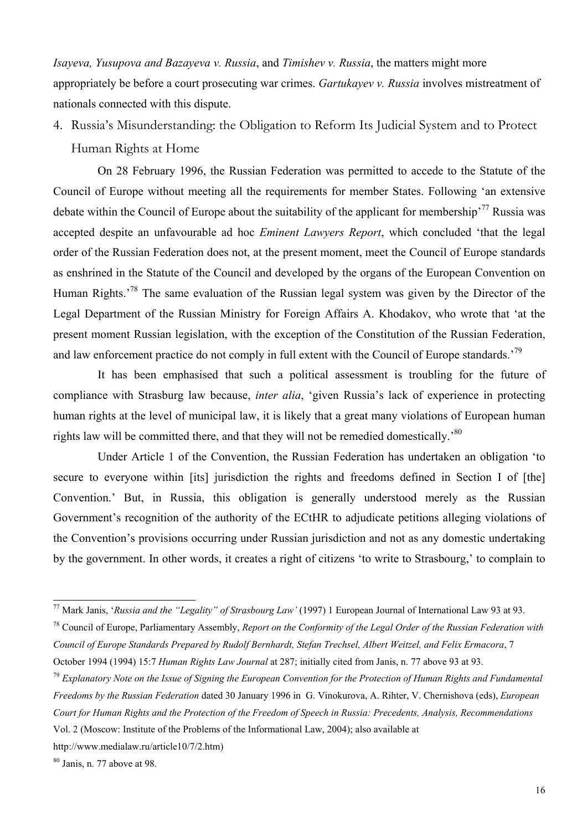*Isayeva, Yusupova and Bazayeva v. Russia*, and *Timishev v. Russia*, the matters might more appropriately be before a court prosecuting war crimes. *Gartukayev v. Russia* involves mistreatment of nationals connected with this dispute.

4. Russia's Misunderstanding: the Obligation to Reform Its Judicial System and to Protect Human Rights at Home

On 28 February 1996, the Russian Federation was permitted to accede to the Statute of the Council of Europe without meeting all the requirements for member States. Following 'an extensive debate within the Council of Europe about the suitability of the applicant for membership<sup>77</sup> Russia was accepted despite an unfavourable ad hoc *Eminent Lawyers Report*, which concluded 'that the legal order of the Russian Federation does not, at the present moment, meet the Council of Europe standards as enshrined in the Statute of the Council and developed by the organs of the European Convention on Human Rights.'78 The same evaluation of the Russian legal system was given by the Director of the Legal Department of the Russian Ministry for Foreign Affairs A. Khodakov, who wrote that 'at the present moment Russian legislation, with the exception of the Constitution of the Russian Federation, and law enforcement practice do not comply in full extent with the Council of Europe standards.<sup>79</sup>

It has been emphasised that such a political assessment is troubling for the future of compliance with Strasburg law because, *inter alia*, 'given Russia's lack of experience in protecting human rights at the level of municipal law, it is likely that a great many violations of European human rights law will be committed there, and that they will not be remedied domestically.<sup>80</sup>

Under Article 1 of the Convention, the Russian Federation has undertaken an obligation 'to secure to everyone within [its] jurisdiction the rights and freedoms defined in Section I of [the] Convention.' But, in Russia, this obligation is generally understood merely as the Russian Government's recognition of the authority of the ECtHR to adjudicate petitions alleging violations of the Convention's provisions occurring under Russian jurisdiction and not as any domestic undertaking by the government. In other words, it creates a right of citizens 'to write to Strasbourg,' to complain to

 $\overline{\phantom{a}}$ 

<sup>77</sup> Mark Janis, '*Russia and the "Legality" of Strasbourg Law'* (1997) 1 European Journal of International Law 93 at 93.

<sup>78</sup> Council of Europe, Parliamentary Assembly, *Report on the Conformity of the Legal Order of the Russian Federation with Council of Europe Standards Prepared by Rudolf Bernhardt, Stefan Trechsel, Albert Weitzel, and Felix Ermacora*, 7 October 1994 (1994) 15:7 *Human Rights Law Journal* at 287; initially cited from Janis, n. 77 above 93 at 93.

<sup>79</sup> *Explanatory Note on the Issue of Signing the European Convention for the Protection of Human Rights and Fundamental Freedoms by the Russian Federation* dated 30 January 1996 in G. Vinokurova, A. Rihter, V. Chernishova (eds), *European Court for Human Rights and the Protection of the Freedom of Speech in Russia: Precedents, Analysis, Recommendations*  Vol. 2 (Moscow: Institute of the Problems of the Informational Law, 2004); also available at

http://www.medialaw.ru/article10/7/2.htm)

<sup>80</sup> Janis, n. 77 above at 98.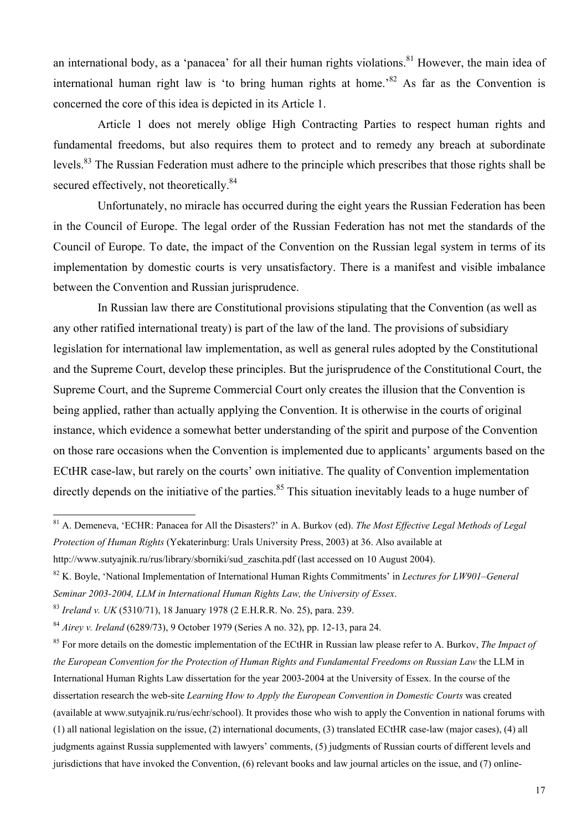an international body, as a 'panacea' for all their human rights violations.<sup>81</sup> However, the main idea of international human right law is 'to bring human rights at home.<sup>82</sup> As far as the Convention is concerned the core of this idea is depicted in its Article 1.

Article 1 does not merely oblige High Contracting Parties to respect human rights and fundamental freedoms, but also requires them to protect and to remedy any breach at subordinate levels.<sup>83</sup> The Russian Federation must adhere to the principle which prescribes that those rights shall be secured effectively, not theoretically.<sup>84</sup>

Unfortunately, no miracle has occurred during the eight years the Russian Federation has been in the Council of Europe. The legal order of the Russian Federation has not met the standards of the Council of Europe. To date, the impact of the Convention on the Russian legal system in terms of its implementation by domestic courts is very unsatisfactory. There is a manifest and visible imbalance between the Convention and Russian jurisprudence.

In Russian law there are Constitutional provisions stipulating that the Convention (as well as any other ratified international treaty) is part of the law of the land. The provisions of subsidiary legislation for international law implementation, as well as general rules adopted by the Constitutional and the Supreme Court, develop these principles. But the jurisprudence of the Constitutional Court, the Supreme Court, and the Supreme Commercial Court only creates the illusion that the Convention is being applied, rather than actually applying the Convention. It is otherwise in the courts of original instance, which evidence a somewhat better understanding of the spirit and purpose of the Convention on those rare occasions when the Convention is implemented due to applicants' arguments based on the ECtHR case-law, but rarely on the courts' own initiative. The quality of Convention implementation directly depends on the initiative of the parties.<sup>85</sup> This situation inevitably leads to a huge number of

 $\overline{\phantom{a}}$ 

<sup>81</sup> A. Demeneva, 'ECHR: Panacea for All the Disasters?' in A. Burkov (ed). *The Most Effective Legal Methods of Legal Protection of Human Rights* (Yekaterinburg: Urals University Press, 2003) at 36. Also available at

http://www.sutyainik.ru/rus/library/sborniki/sud\_zaschita.pdf (last accessed on 10 August 2004).

<sup>82</sup> K. Boyle, 'National Implementation of International Human Rights Commitments' in *Lectures for LW901–General Seminar 2003-2004, LLM in International Human Rights Law, the University of Essex*.

<sup>83</sup> *Ireland v. UK* (5310/71), 18 January 1978 (2 E.H.R.R. No. 25), para. 239.

<sup>84</sup> *Airey v. Ireland* (6289/73), 9 October 1979 (Series A no. 32), pp. 12-13, para 24.

<sup>85</sup> For more details on the domestic implementation of the ECtHR in Russian law please refer to A. Burkov, *The Impact of the European Convention for the Protection of Human Rights and Fundamental Freedoms on Russian Law* the LLM in International Human Rights Law dissertation for the year 2003-2004 at the University of Essex. In the course of the dissertation research the web-site *Learning How to Apply the European Convention in Domestic Courts* was created (available at www.sutyajnik.ru/rus/echr/school). It provides those who wish to apply the Convention in national forums with (1) all national legislation on the issue, (2) international documents, (3) translated ECtHR case-law (major cases), (4) all judgments against Russia supplemented with lawyers' comments, (5) judgments of Russian courts of different levels and jurisdictions that have invoked the Convention, (6) relevant books and law journal articles on the issue, and (7) online-